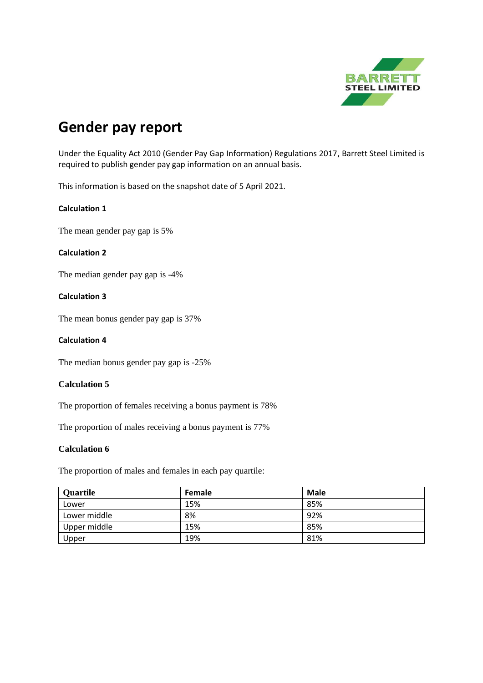

# **Gender pay report**

Under the [Equality Act 2010 \(Gender Pay Gap Information\) Regulations 2017,](http://www.legislation.gov.uk/uksi/2017/353/contents/made) Barrett Steel Limited is required to publish gender pay gap information on an annual basis.

This information is based on the snapshot date of 5 April 2021.

# **Calculation 1**

The mean gender pay gap is 5%

## **Calculation 2**

The median gender pay gap is -4%

## **Calculation 3**

The mean bonus gender pay gap is 37%

#### **Calculation 4**

The median bonus gender pay gap is -25%

## **Calculation 5**

The proportion of females receiving a bonus payment is 78%

The proportion of males receiving a bonus payment is 77%

## **Calculation 6**

The proportion of males and females in each pay quartile:

| <b>Quartile</b> | Female | <b>Male</b> |
|-----------------|--------|-------------|
| Lower           | 15%    | 85%         |
| Lower middle    | 8%     | 92%         |
| Upper middle    | 15%    | 85%         |
| Upper           | 19%    | 81%         |